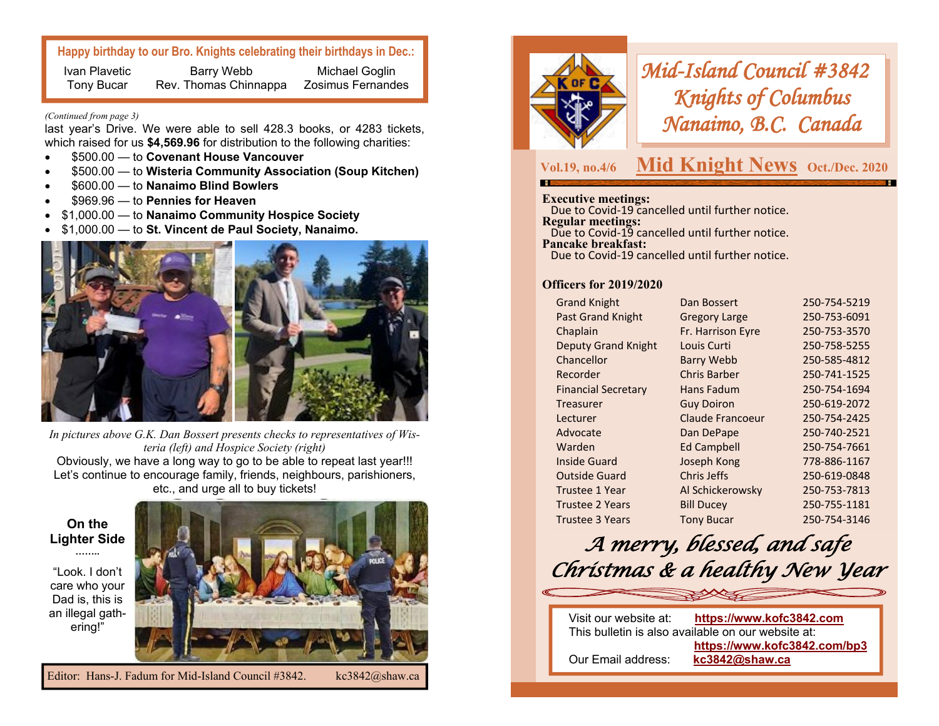### **Happy birthday to our Bro. Knights celebrating their birthdays in Dec.:**

Ivan Plavetic Tony Bucar Barry Webb Rev. Thomas Chinnappa Michael Goglin Zosimus Fernandes

#### *(Continued from page 3)*

last year's Drive. We were able to sell 428.3 books, or 4283 tickets, which raised for us **\$4,569.96** for distribution to the following charities:

- \$500.00 to **Covenant House Vancouver**
- \$500.00 to **Wisteria Community Association (Soup Kitchen)**
- \$600.00 to **Nanaimo Blind Bowlers**
- \$969.96 to **Pennies for Heaven**
- \$1,000.00 to **Nanaimo Community Hospice Society**
- \$1,000.00 to **St. Vincent de Paul Society, Nanaimo.**



*In pictures above G.K. Dan Bossert presents checks to representatives of Wisteria (left) and Hospice Society (right)* Obviously, we have a long way to go to be able to repeat last year!!! Let's continue to encourage family, friends, neighbours, parishioners, etc., and urge all to buy tickets!

**On the Lighter Side ……..**

"Look. I don't care who your Dad is, this is an illegal gathering!"





*Mid-Island Council #3842 Knights of Columbus Nanaimo, B.C. Canada* 

**Vol.19, no.4/6**

# **Mid Knight News** Oct./Dec. 2020

### **Executive meetings:**

 Due to Covid-19 cancelled until further notice. **Regular meetings:**  Due to Covid-19 cancelled until further notice. **Pancake breakfast:** Due to Covid-19 cancelled until further notice.

### **Officers for 2019/2020**

| <b>Grand Knight</b>        | Dan Bossert          | 250-754-5219 |
|----------------------------|----------------------|--------------|
| Past Grand Knight          | <b>Gregory Large</b> | 250-753-6091 |
| Chaplain                   | Fr. Harrison Eyre    | 250-753-3570 |
| <b>Deputy Grand Knight</b> | Louis Curti          | 250-758-5255 |
| Chancellor                 | <b>Barry Webb</b>    | 250-585-4812 |
| Recorder                   | Chris Barber         | 250-741-1525 |
| <b>Financial Secretary</b> | Hans Fadum           | 250-754-1694 |
| Treasurer                  | <b>Guy Doiron</b>    | 250-619-2072 |
| Lecturer                   | Claude Francoeur     | 250-754-2425 |
| Advocate                   | Dan DePape           | 250-740-2521 |
| Warden                     | <b>Ed Campbell</b>   | 250-754-7661 |
| Inside Guard               | Joseph Kong          | 778-886-1167 |
| <b>Outside Guard</b>       | Chris Jeffs          | 250-619-0848 |
| <b>Trustee 1 Year</b>      | Al Schickerowsky     | 250-753-7813 |
| <b>Trustee 2 Years</b>     | <b>Bill Ducey</b>    | 250-755-1181 |
| Trustee 3 Years            | <b>Tony Bucar</b>    | 250-754-3146 |
|                            |                      |              |

# *A merry, blessed, and safe Christmas & a healthy New Year*

| Visit our website at:                              | https://www.kofc3842.com     |  |
|----------------------------------------------------|------------------------------|--|
| This bulletin is also available on our website at: |                              |  |
|                                                    | https://www.kofc3842.com/bp3 |  |
| Our Email address:                                 | kc3842@shaw.ca               |  |
|                                                    |                              |  |

Editor: Hans-J. Fadum for Mid-Island Council #3842. kc3842@shaw.ca